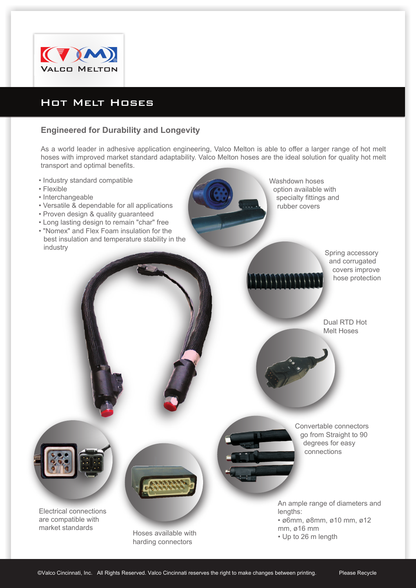

## Hot Melt Hoses

## **Engineered for Durability and Longevity**

As a world leader in adhesive application engineering, Valco Melton is able to offer a larger range of hot melt hoses with improved market standard adaptability. Valco Melton hoses are the ideal solution for quality hot melt transport and optimal benefits.

- Industry standard compatible
- Flexible
- Interchangeable
- Versatile & dependable for all applications
- Proven design & quality guaranteed
- Long lasting design to remain "char" free
- "Nomex" and Flex Foam insulation for the best insulation and temperature stability in the industry

Washdown hoses option available with specialty fittings and rubber covers

> Spring accessory and corrugated covers improve hose protection

Dual RTD Hot Melt Hoses

Convertable connectors go from Straight to 90 degrees for easy connections

Electrical connections are compatible with market standards

Hoses available with **Hoses** available with **Hoses Up** to 26 m length harding connectors

An ample range of diameters and lengths:

• ø6mm, ø8mm, ø10 mm, ø12 mm, ø16 mm